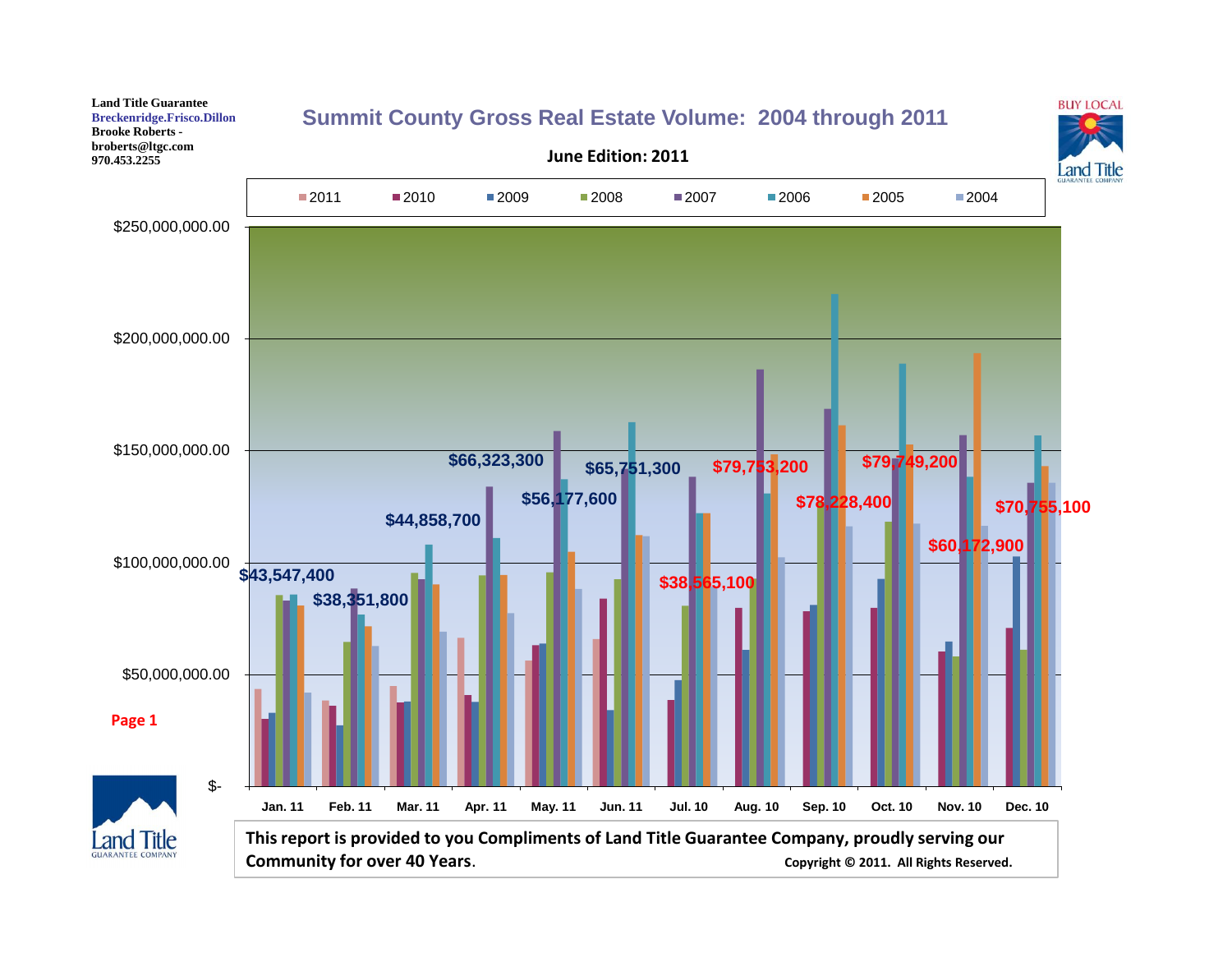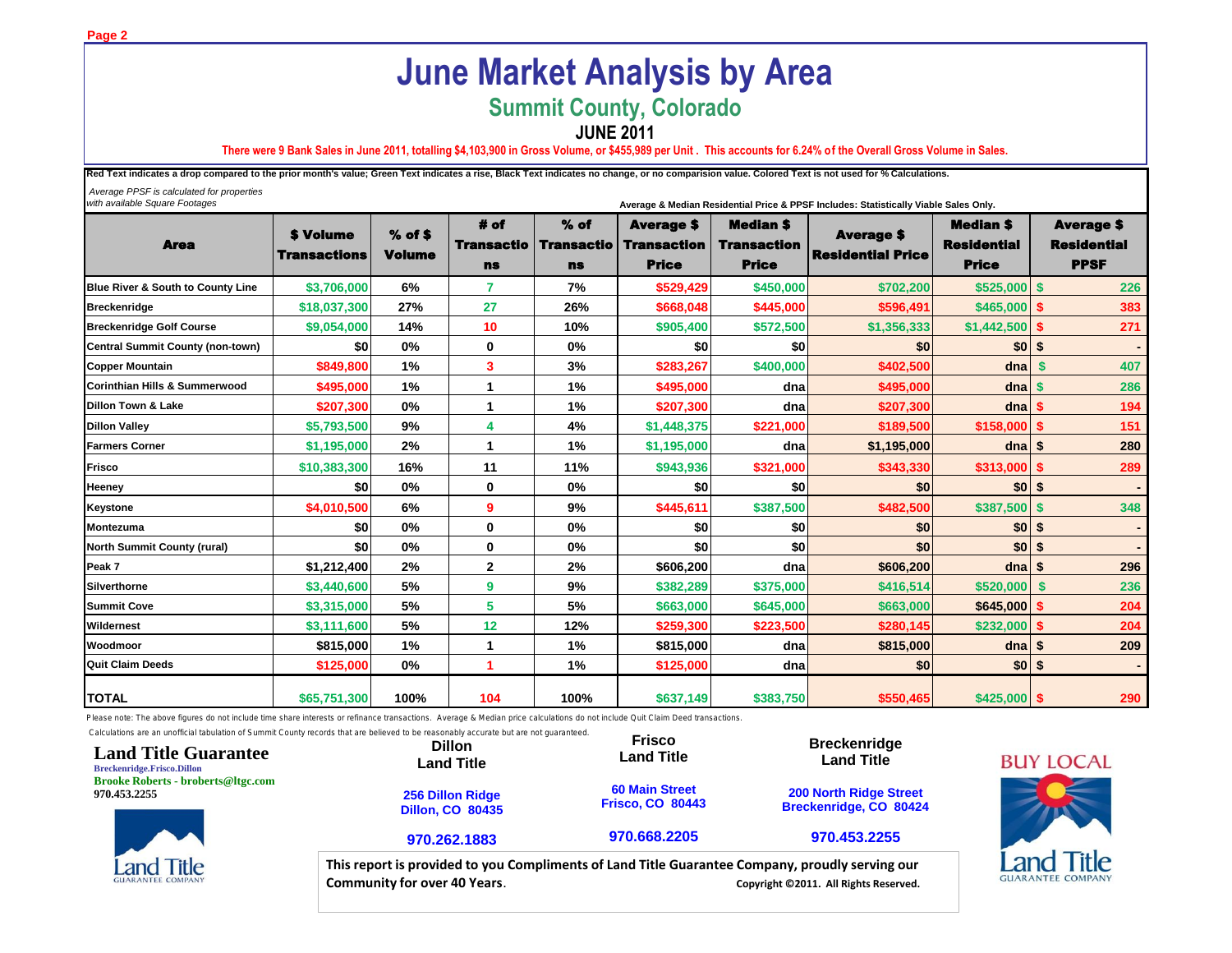# **June Market Analysis by Area**

## **Summit County, Colorado**

**JUNE 2011**

**There were 9 Bank Sales in June 2011, totalling \$4,103,900 in Gross Volume, or \$455,989 per Unit . This accounts for 6.24% of the Overall Gross Volume in Sales.**

Red Text indicates a drop compared to the prior month's value; Green Text indicates a rise, Black Text indicates no change, or no comparision value. Colored Text is not used for % Calculations.

 *Average PPSF is calculated for properties with available Square Footages* **Average & Median Residential Price & PPSF Includes: Statistically Viable Sales Only.**

*Compliments of:*

Area \$ Volume Transactions % of \$ Volume # of Transactio ns % of Transactio ns Average \$ **Transaction** Price Median \$ **Transaction** Price Average \$ Residential Price Median \$ **Residential** Price Average \$ Residential PPSF **Blue River & South to County Line \$3,706,000 6% 7 7% \$529,429 \$450,000 \$702,200 \$525,000 \$ 226 Breckenridge \$18,037,300 27% 27 26% \$668,048 \$445,000 \$596,491 \$465,000 \$ 383 Breckenridge Golf Course \$9,054,000 14% 10 10% \$905,400 \$572,500 \$1,356,333 \$1,442,500 \$ 271 Central Summit County (non-town) \$0 0% 0 0% \$0 \$0 \$0 \$0 \$ - Copper Mountain \$849,800 1% 3 3% \$283,267 \$400,000 \$402,500 dna \$ 407 Corinthian Hills & Summerwood \$495,000 1% 1 1% \$495,000 dna \$495,000 dna \$ 286 Dillon Town & Lake \$207,300 0% 1 1% \$207,300 dna \$207,300 dna \$ 194 Dillon Valley \$5,793,500 9% 4 4% \$1,448,375 \$221,000 \$189,500 \$158,000 \$ 151 Farmers Corner \$1,195,000 2% 1 1% \$1,195,000 dna \$1,195,000 dna \$ 280 Frisco \$10,383,300 16% 11 11% \$943,936 \$321,000 \$343,330 \$313,000 \$ 289 Heeney \$0 0% 0 0% \$0 \$0 \$0 \$0 \$ - Keystone \$4,010,500 6% 9 9% \$445,611 \$387,500 \$482,500 \$387,500 \$ 348 Montezuma \$0 0% 0 0% \$0 \$0 \$0 \$0 \$ - North Summit County (rural) \$0 0% 0 0% \$0 \$0 \$0 \$0 \$ - Peak 7 \$1,212,400 2% 2 2% \$606,200 dna \$606,200 dna \$ 296 Silverthorne \$3,440,600 5% 9 9% \$382,289 \$375,000 \$416,514 \$520,000 \$ 236 Summit Cove \$3,315,000 5% 5 5% \$663,000 \$645,000 \$663,000 \$645,000 \$ 204 Wildernest \$3,111,600 5% 12 12% \$259,300 \$223,500 \$280,145 \$232,000 \$ 204 Woodmoor \$815,000 1% 1 1% \$815,000 dna \$815,000 dna \$ 209 Quit Claim Deeds \$125,000 0% 1 1% \$125,000 dna \$0 \$0 \$ - TOTAL \$65,751,300 100% 104 100% \$637,149 \$383,750 \$550,465 \$425,000 \$ 290**

Please note: The above figures do not include time share interests or refinance transactions. Average & Median price calculations do not include Quit Claim Deed transactions.



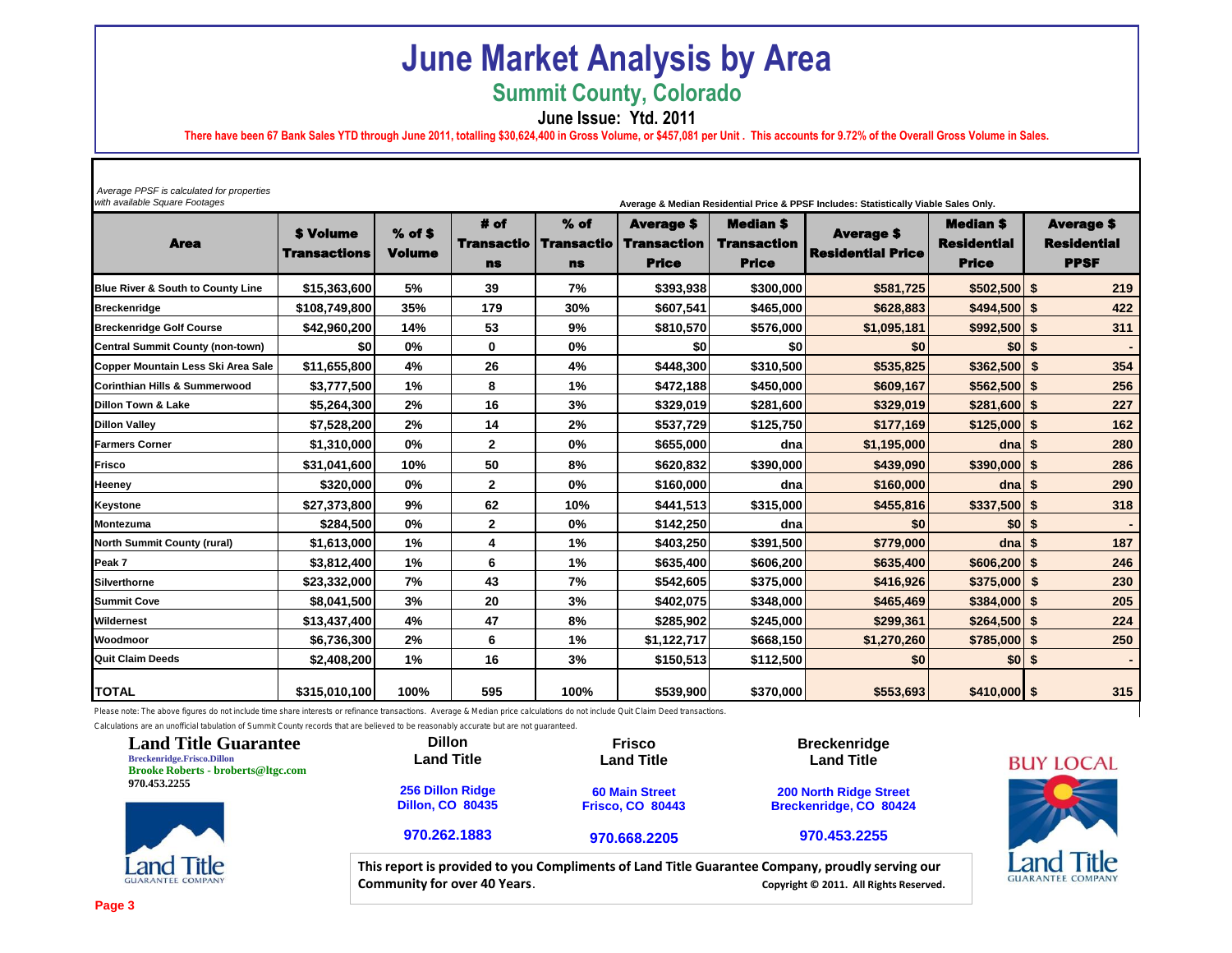## **June Market Analysis by Area**

**Summit County, Colorado**

**June Issue: Ytd. 2011**

**There have been 67 Bank Sales YTD through June 2011, totalling \$30,624,400 in Gross Volume, or \$457,081 per Unit . This accounts for 9.72% of the Overall Gross Volume in Sales.**

*with available Square Footages* **Average & Median Residential Price & PPSF Includes: Statistically Viable Sales Only.**

| Average PPSF is calculated for properties |  |
|-------------------------------------------|--|
| with available Square Footgase            |  |

| nti avaliable oquare i colages          |                                         |                            |                                        |                                          |                                                         |                                                        | Average & Median Residential Price & PPSF includes: Statistically viable Sales Only. |                                                        |                                                        |
|-----------------------------------------|-----------------------------------------|----------------------------|----------------------------------------|------------------------------------------|---------------------------------------------------------|--------------------------------------------------------|--------------------------------------------------------------------------------------|--------------------------------------------------------|--------------------------------------------------------|
| <b>Area</b>                             | <b>\$ Volume</b><br><b>Transactions</b> | $%$ of \$<br><b>Volume</b> | # of<br><b>Transactio</b><br><b>ns</b> | $%$ of<br><b>Transactio</b><br><b>ns</b> | <b>Average \$</b><br><b>Transaction</b><br><b>Price</b> | <b>Median \$</b><br><b>Transaction</b><br><b>Price</b> | <b>Average \$</b><br><b>Residential Price</b>                                        | <b>Median \$</b><br><b>Residential</b><br><b>Price</b> | <b>Average \$</b><br><b>Residential</b><br><b>PPSF</b> |
| Blue River & South to County Line       | \$15,363,600                            | 5%                         | 39                                     | 7%                                       | \$393,938                                               | \$300,000                                              | \$581,725                                                                            | $$502,500$ \$                                          | 219                                                    |
| <b>Breckenridge</b>                     | \$108,749,800                           | 35%                        | 179                                    | 30%                                      | \$607,541                                               | \$465,000                                              | \$628,883                                                                            | $$494,500$ \$                                          | 422                                                    |
| <b>Breckenridge Golf Course</b>         | \$42,960,200                            | 14%                        | 53                                     | 9%                                       | \$810,570                                               | \$576,000                                              | \$1,095,181                                                                          | $$992,500$ \$                                          | 311                                                    |
| <b>Central Summit County (non-town)</b> | \$0                                     | 0%                         | 0                                      | 0%                                       | \$0                                                     | \$0                                                    | \$0                                                                                  | \$01s                                                  |                                                        |
| Copper Mountain Less Ski Area Sale      | \$11,655,800                            | 4%                         | 26                                     | 4%                                       | \$448,300                                               | \$310,500                                              | \$535,825                                                                            | $$362,500$ \$                                          | 354                                                    |
| Corinthian Hills & Summerwood           | \$3,777,500                             | 1%                         | 8                                      | 1%                                       | \$472,188                                               | \$450,000                                              | \$609,167                                                                            | $$562,500$ \$                                          | 256                                                    |
| <b>Dillon Town &amp; Lake</b>           | \$5,264,300                             | 2%                         | 16                                     | 3%                                       | \$329,019                                               | \$281,600                                              | \$329,019                                                                            | $$281,600$ \$                                          | 227                                                    |
| <b>Dillon Valley</b>                    | \$7,528,200                             | 2%                         | 14                                     | 2%                                       | \$537,729                                               | \$125,750                                              | \$177,169                                                                            | $$125,000$ \$                                          | 162                                                    |
| <b>Farmers Corner</b>                   | \$1,310,000                             | 0%                         | $\mathbf{2}$                           | 0%                                       | \$655,000                                               | dna                                                    | \$1,195,000                                                                          | d <sub>na</sub>                                        | 280<br>\$                                              |
| Frisco                                  | \$31,041,600                            | 10%                        | 50                                     | 8%                                       | \$620,832                                               | \$390,000                                              | \$439,090                                                                            | $$390,000$ \$                                          | 286                                                    |
| Heeney                                  | \$320,000                               | 0%                         | 2                                      | 0%                                       | \$160,000                                               | dna                                                    | \$160,000                                                                            | dna                                                    | 290<br>\$                                              |
| <b>Keystone</b>                         | \$27,373,800                            | 9%                         | 62                                     | 10%                                      | \$441,513                                               | \$315,000                                              | \$455,816                                                                            | $$337,500$ \$                                          | 318                                                    |
| <b>Montezuma</b>                        | \$284,500                               | 0%                         | 2                                      | 0%                                       | \$142,250                                               | dna                                                    | \$0                                                                                  | \$0 S                                                  |                                                        |
| <b>North Summit County (rural)</b>      | \$1,613,000                             | 1%                         | 4                                      | 1%                                       | \$403,250                                               | \$391,500                                              | \$779,000                                                                            | $dna$ \$                                               | 187                                                    |
| Peak 7                                  | \$3,812,400                             | 1%                         | 6                                      | 1%                                       | \$635,400                                               | \$606,200                                              | \$635,400                                                                            | $$606,200$ \$                                          | 246                                                    |
| Silverthorne                            | \$23,332,000                            | 7%                         | 43                                     | 7%                                       | \$542,605                                               | \$375,000                                              | \$416,926                                                                            | $$375,000$ \$                                          | 230                                                    |
| <b>Summit Cove</b>                      | \$8,041,500                             | 3%                         | 20                                     | 3%                                       | \$402,075                                               | \$348,000                                              | \$465,469                                                                            | $$384,000$ \$                                          | 205                                                    |
| Wildernest                              | \$13,437,400                            | 4%                         | 47                                     | 8%                                       | \$285,902                                               | \$245,000                                              | \$299,361                                                                            | $$264,500$ \$                                          | 224                                                    |
| Woodmoor                                | \$6,736,300                             | 2%                         | 6                                      | 1%                                       | \$1,122,717                                             | \$668,150                                              | \$1,270,260                                                                          | $$785,000$ \$                                          | 250                                                    |
| <b>Quit Claim Deeds</b>                 | \$2,408,200                             | 1%                         | 16                                     | 3%                                       | \$150,513                                               | \$112,500                                              | \$0                                                                                  | $$0 \,$ \$                                             |                                                        |
| <b>TOTAL</b>                            | \$315,010,100                           | 100%                       | 595                                    | 100%                                     | \$539,900                                               | \$370,000                                              | \$553,693                                                                            | $$410,000$ \$                                          | 315                                                    |

Please note: The above figures do not include time share interests or refinance transactions. Average & Median price calculations do not include Quit Claim Deed transactions.

Calculations are an unofficial tabulation of Summit County records that are believed to be reasonably accurate but are not guaranteed.

| <b>Land Title Guarantee</b><br><b>Breckenridge.Frisco.Dillon</b><br><b>Brooke Roberts - broberts@ltgc.com</b> | <b>Dillon</b><br><b>Land Title</b>                 | <b>Frisco</b><br><b>Land Title</b>               | <b>Breckenridge</b><br><b>Land Title</b>                                                                                                  | <b>BUY LOCAL</b>                  |
|---------------------------------------------------------------------------------------------------------------|----------------------------------------------------|--------------------------------------------------|-------------------------------------------------------------------------------------------------------------------------------------------|-----------------------------------|
| 970.453.2255                                                                                                  | <b>256 Dillon Ridge</b><br><b>Dillon, CO 80435</b> | <b>60 Main Street</b><br><b>Frisco, CO 80443</b> | <b>200 North Ridge Street</b><br>Breckenridge, CO 80424                                                                                   |                                   |
|                                                                                                               | 970.262.1883                                       | 970.668.2205                                     | 970.453.2255                                                                                                                              |                                   |
| <b>Land Title</b><br><b>GUARANTEE COMPANY</b>                                                                 | <b>Community for over 40 Years.</b>                |                                                  | This report is provided to you Compliments of Land Title Guarantee Company, proudly serving our<br>Copyright © 2011. All Rights Reserved. | Title<br><b>GUARANTEE COMPANY</b> |



GU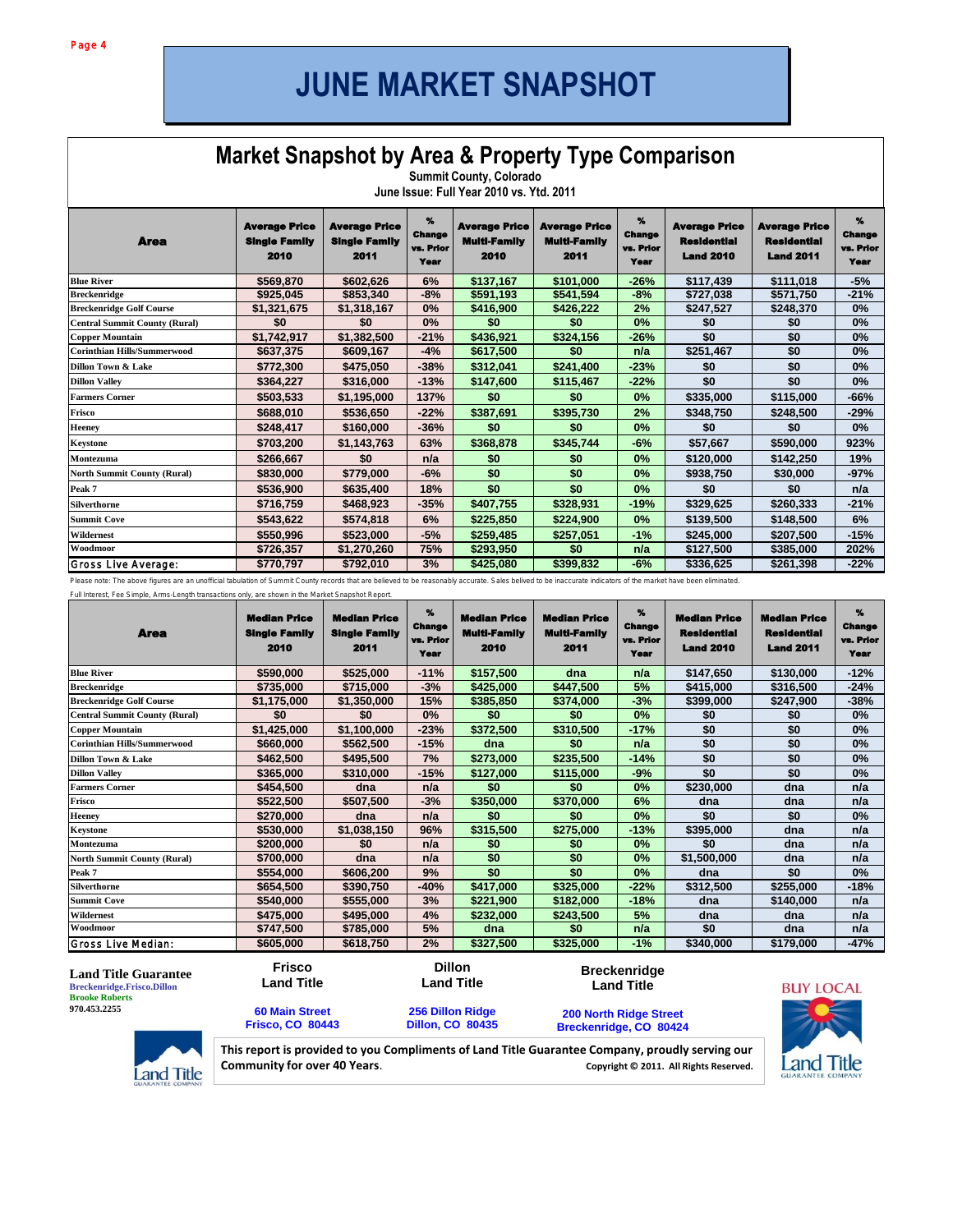## **JUNE MARKET SNAPSHOT**

#### **Ket Snapshot by Area & Market Snapshot by Area & Property Type Comparison**

**Pitkin County, County, County, County, County, County, County, County, County, County, County, County, County, Summit County, Colorado June Issue: Full Year 2010 vs. Ytd. 2011**

| <b>Area</b>                          | <b>Average Price</b><br><b>Single Family</b><br>2010 | <b>Average Price</b><br><b>Single Family</b><br>2011 | $\gamma$<br><b>Change</b><br>vs. Prior<br>Year | <b>Average Price</b><br><b>Multi-Family</b><br>2010 | <b>Average Price</b><br><b>Multi-Family</b><br>2011 | $\gamma$<br><b>Change</b><br>vs. Prior<br>Year | <b>Average Price</b><br>Residential<br><b>Land 2010</b> | <b>Average Price</b><br><b>Residential</b><br><b>Land 2011</b> | $\boldsymbol{\%}$<br><b>Change</b><br>vs. Prior<br><b>Year</b> |
|--------------------------------------|------------------------------------------------------|------------------------------------------------------|------------------------------------------------|-----------------------------------------------------|-----------------------------------------------------|------------------------------------------------|---------------------------------------------------------|----------------------------------------------------------------|----------------------------------------------------------------|
| <b>Blue River</b>                    | \$569,870                                            | \$602,626                                            | 6%                                             | \$137,167                                           | \$101,000                                           | $-26%$                                         | \$117,439                                               | \$111,018                                                      | $-5%$                                                          |
| <b>Breckenridge</b>                  | \$925,045                                            | \$853,340                                            | $-8%$                                          | \$591,193                                           | \$541,594                                           | $-8%$                                          | \$727,038                                               | \$571,750                                                      | $-21%$                                                         |
| <b>Breckenridge Golf Course</b>      | \$1,321,675                                          | \$1,318,167                                          | 0%                                             | \$416,900                                           | \$426,222                                           | 2%                                             | \$247,527                                               | \$248,370                                                      | 0%                                                             |
| <b>Central Summit County (Rural)</b> | \$0                                                  | \$0                                                  | 0%                                             | \$0                                                 | \$0                                                 | 0%                                             | \$0                                                     | \$0                                                            | 0%                                                             |
| <b>Copper Mountain</b>               | \$1,742,917                                          | \$1,382,500                                          | $-21%$                                         | \$436,921                                           | \$324,156                                           | $-26%$                                         | \$0                                                     | \$0                                                            | 0%                                                             |
| <b>Corinthian Hills/Summerwood</b>   | \$637,375                                            | \$609,167                                            | $-4%$                                          | \$617,500                                           | \$0                                                 | n/a                                            | \$251,467                                               | \$0                                                            | $0\%$                                                          |
| <b>Dillon Town &amp; Lake</b>        | \$772,300                                            | \$475,050                                            | $-38%$                                         | \$312,041                                           | \$241,400                                           | $-23%$                                         | \$0                                                     | \$0                                                            | 0%                                                             |
| <b>Dillon Valley</b>                 | \$364,227                                            | \$316,000                                            | $-13%$                                         | \$147,600                                           | \$115,467                                           | $-22%$                                         | \$0                                                     | \$0                                                            | $0\%$                                                          |
| <b>Farmers Corner</b>                | \$503,533                                            | \$1,195,000                                          | 137%                                           | \$0                                                 | \$0                                                 | 0%                                             | \$335,000                                               | \$115,000                                                      | $-66%$                                                         |
| Frisco                               | \$688,010                                            | \$536,650                                            | $-22%$                                         | \$387,691                                           | \$395,730                                           | 2%                                             | \$348,750                                               | \$248,500                                                      | $-29%$                                                         |
| Heeney                               | \$248,417                                            | \$160,000                                            | $-36%$                                         | \$0                                                 | \$0                                                 | 0%                                             | \$0                                                     | \$0                                                            | 0%                                                             |
| Keystone                             | \$703,200                                            | \$1,143,763                                          | 63%                                            | \$368,878                                           | \$345,744                                           | $-6%$                                          | \$57,667                                                | \$590,000                                                      | 923%                                                           |
| Montezuma                            | \$266,667                                            | \$0                                                  | n/a                                            | \$0                                                 | \$0                                                 | 0%                                             | \$120,000                                               | \$142,250                                                      | 19%                                                            |
| <b>North Summit County (Rural)</b>   | \$830,000                                            | \$779,000                                            | $-6%$                                          | \$0                                                 | \$0                                                 | 0%                                             | \$938,750                                               | \$30,000                                                       | $-97%$                                                         |
| Peak 7                               | \$536,900                                            | \$635,400                                            | 18%                                            | \$0                                                 | \$0                                                 | 0%                                             | \$0                                                     | \$0                                                            | n/a                                                            |
| <b>Silverthorne</b>                  | \$716,759                                            | \$468,923                                            | $-35%$                                         | \$407,755                                           | \$328,931                                           | $-19%$                                         | \$329,625                                               | \$260,333                                                      | $-21%$                                                         |
| <b>Summit Cove</b>                   | \$543,622                                            | \$574,818                                            | 6%                                             | \$225,850                                           | \$224,900                                           | $0\%$                                          | \$139,500                                               | \$148,500                                                      | 6%                                                             |
| Wildernest                           | \$550,996                                            | \$523,000                                            | $-5%$                                          | \$259,485                                           | \$257,051                                           | $-1%$                                          | \$245,000                                               | \$207,500                                                      | $-15%$                                                         |
| Woodmoor                             | \$726,357                                            | \$1,270,260                                          | 75%                                            | \$293,950                                           | \$0                                                 | n/a                                            | \$127,500                                               | \$385,000                                                      | 202%                                                           |
| Gross Live Average:                  | \$770,797                                            | \$792,010                                            | 3%                                             | \$425,080                                           | \$399,832                                           | $-6%$                                          | \$336,625                                               | \$261,398                                                      | $-22%$                                                         |

Please note: The above figures are an unofficial tabulation of Summit County records that are believed to be reasonably accurate. Sales belived to be inaccurate indicators of the market have been eliminated.

Full Interest, Fee Simple, Arms-Length transactions only, are shown in the Market Snapshot Report.

| <b>Area</b>                          | <b>Median Price</b><br><b>Single Family</b><br>2010 | <b>Median Price</b><br><b>Single Family</b><br>2011 | $\gamma$<br><b>Change</b><br>vs. Prior<br>Year | <b>Median Price</b><br><b>Multi-Family</b><br>2010 | <b>Median Price</b><br><b>Multi-Family</b><br>2011 | %<br><b>Change</b><br>vs. Prior<br>Year | <b>Median Price</b><br><b>Residential</b><br><b>Land 2010</b> | <b>Median Price</b><br><b>Residential</b><br><b>Land 2011</b> | $\%$<br><b>Change</b><br>vs. Prior<br>Year |
|--------------------------------------|-----------------------------------------------------|-----------------------------------------------------|------------------------------------------------|----------------------------------------------------|----------------------------------------------------|-----------------------------------------|---------------------------------------------------------------|---------------------------------------------------------------|--------------------------------------------|
| <b>Blue River</b>                    | \$590,000                                           | \$525,000                                           | $-11%$                                         | \$157,500                                          | dna                                                | n/a                                     | \$147,650                                                     | \$130,000                                                     | $-12%$                                     |
| <b>Breckenridge</b>                  | \$735,000                                           | \$715,000                                           | $-3%$                                          | \$425,000                                          | \$447,500                                          | 5%                                      | \$415,000                                                     | \$316,500                                                     | $-24%$                                     |
| <b>Breckenridge Golf Course</b>      | \$1,175,000                                         | \$1,350,000                                         | 15%                                            | \$385,850                                          | \$374,000                                          | $-3%$                                   | \$399,000                                                     | \$247,900                                                     | $-38%$                                     |
| <b>Central Summit County (Rural)</b> | \$0                                                 | \$0                                                 | 0%                                             | \$0                                                | \$0                                                | 0%                                      | \$0                                                           | \$0                                                           | 0%                                         |
| <b>Copper Mountain</b>               | \$1,425,000                                         | \$1,100,000                                         | $-23%$                                         | \$372,500                                          | \$310,500                                          | $-17%$                                  | \$0                                                           | \$0                                                           | 0%                                         |
| <b>Corinthian Hills/Summerwood</b>   | \$660,000                                           | \$562,500                                           | $-15%$                                         | dna                                                | \$0                                                | n/a                                     | \$0                                                           | \$0                                                           | 0%                                         |
| Dillon Town & Lake                   | \$462,500                                           | \$495,500                                           | 7%                                             | \$273,000                                          | \$235,500                                          | $-14%$                                  | \$0                                                           | \$0                                                           | 0%                                         |
| <b>Dillon Valley</b>                 | \$365,000                                           | \$310,000                                           | $-15%$                                         | \$127,000                                          | \$115,000                                          | $-9%$                                   | \$0                                                           | \$0                                                           | 0%                                         |
| <b>Farmers Corner</b>                | \$454,500                                           | dna                                                 | n/a                                            | \$0                                                | \$0                                                | $0\%$                                   | \$230,000                                                     | dna                                                           | n/a                                        |
| Frisco                               | \$522,500                                           | \$507,500                                           | $-3%$                                          | \$350,000                                          | \$370,000                                          | 6%                                      | dna                                                           | dna                                                           | n/a                                        |
| <b>Heeney</b>                        | \$270,000                                           | dna                                                 | n/a                                            | \$0                                                | \$0                                                | 0%                                      | \$0                                                           | \$0                                                           | 0%                                         |
| Keystone                             | \$530,000                                           | \$1,038,150                                         | 96%                                            | \$315,500                                          | \$275,000                                          | $-13%$                                  | \$395,000                                                     | dna                                                           | n/a                                        |
| Montezuma                            | \$200,000                                           | \$0                                                 | n/a                                            | \$0                                                | \$0                                                | $0\%$                                   | \$0                                                           | dna                                                           | n/a                                        |
| <b>North Summit County (Rural)</b>   | \$700,000                                           | dna                                                 | n/a                                            | \$0                                                | \$0                                                | $0\%$                                   | \$1,500,000                                                   | dna                                                           | n/a                                        |
| Peak 7                               | \$554,000                                           | \$606,200                                           | 9%                                             | \$0                                                | \$0                                                | 0%                                      | dna                                                           | \$0                                                           | 0%                                         |
| Silverthorne                         | \$654,500                                           | \$390,750                                           | $-40%$                                         | \$417,000                                          | \$325,000                                          | $-22%$                                  | \$312,500                                                     | \$255,000                                                     | $-18%$                                     |
| <b>Summit Cove</b>                   | \$540,000                                           | \$555,000                                           | 3%                                             | \$221,900                                          | \$182,000                                          | $-18%$                                  | dna                                                           | \$140,000                                                     | n/a                                        |
| Wildernest                           | \$475,000                                           | \$495,000                                           | 4%                                             | \$232,000                                          | \$243,500                                          | 5%                                      | dna                                                           | dna                                                           | n/a                                        |
| Woodmoor                             | \$747,500                                           | \$785,000                                           | 5%                                             | dna                                                | \$0                                                | n/a                                     | \$0                                                           | dna                                                           | n/a                                        |
| <b>Gross Live Median:</b>            | \$605,000                                           | \$618,750                                           | 2%                                             | \$327,500                                          | \$325,000                                          | $-1%$                                   | \$340,000                                                     | \$179,000                                                     | $-47%$                                     |

**Land Title Guarantee Breckenridge.Frisco.Dillon Brooke Roberts 970.453.2255**

**Frisco Land Title 60 Main Street Frisco, CO 80443**

**Dillon Land Title**

**256 Dillon Ridge Dillon, CO 80435** **Breckenridge Land Title**

**200 North Ridge Street Breckenridge, CO 80424** **BUY LOCAL** 

**Land Title** 

**970.453.2255 970.668.2205 This report is provided to you Compliments of Land Title Guarantee Company, proudly serving our 970.262.1883 Community for over 40 Years. Community for over 40 Years. Copyright © 2011.** All Rights Reserved.

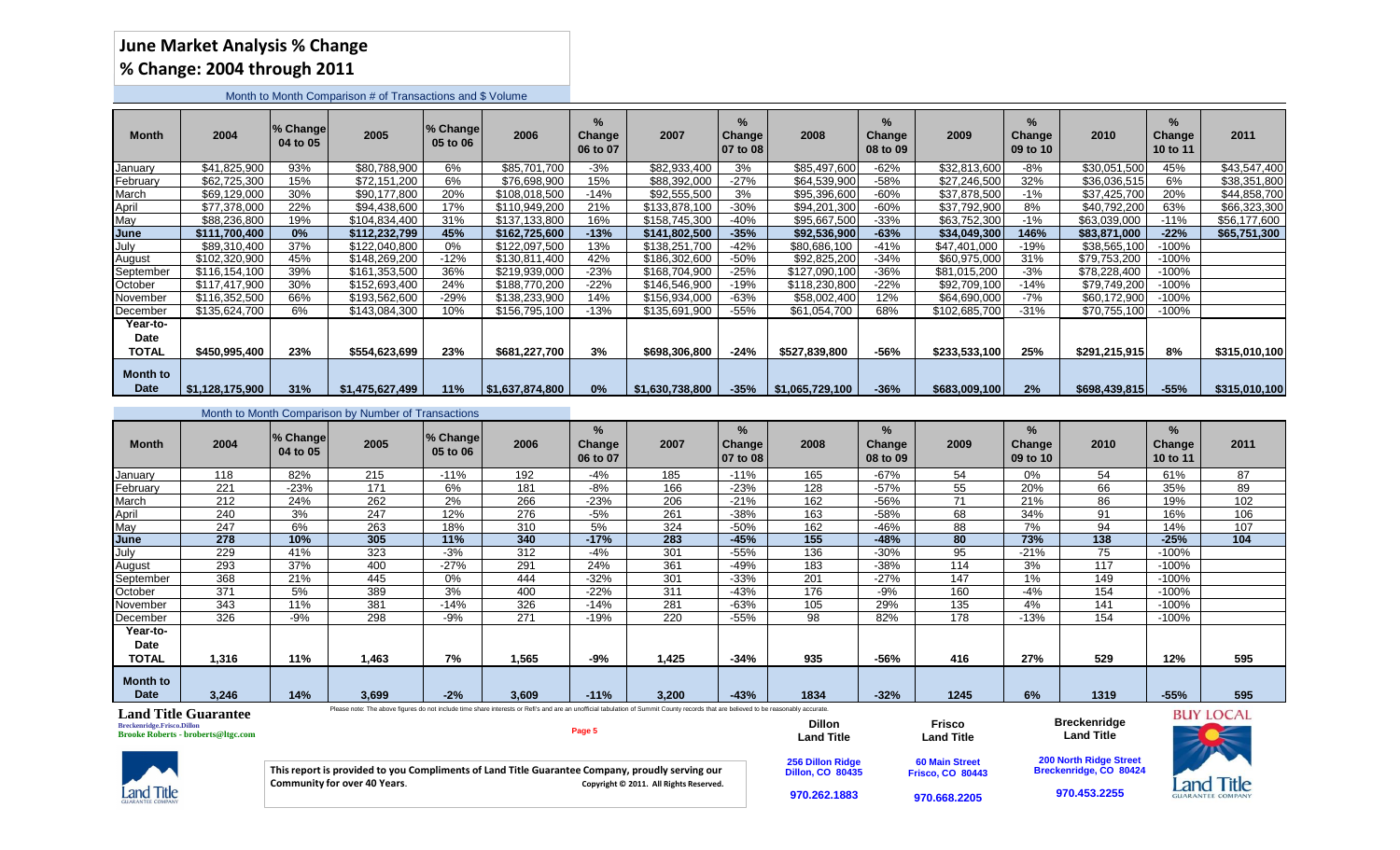## **June Market Analysis % Change % Change: 2004 through 2011**

Month to Month Comparison # of Transactions and \$ Volume

| Month                            | 2004            | % Change<br>04 to 05 | 2005            | 1% Changel<br>05 to 06 | 2006            | $\%$<br>Change<br>06 to 07 | 2007            | %<br><b>Change</b><br>07 to 08 | 2008            | $\frac{9}{6}$<br><b>Change</b><br>08 to 09 | 2009          | $\frac{9}{6}$<br>Change<br>09 to 10 | 2010          | $\frac{9}{6}$<br><b>Change</b><br>10 to 11 | 2011          |
|----------------------------------|-----------------|----------------------|-----------------|------------------------|-----------------|----------------------------|-----------------|--------------------------------|-----------------|--------------------------------------------|---------------|-------------------------------------|---------------|--------------------------------------------|---------------|
| January                          | \$41,825,900    | 93%                  | \$80,788,900    | 6%                     | \$85,701,700    | $-3%$                      | \$82,933,400    | 3%                             | \$85,497,600    | -62%                                       | \$32,813,600  | $-8%$                               | \$30,051,500  | 45%                                        | \$43,547,400  |
| February                         | \$62,725,300    | 15%                  | \$72,151,200    | 6%                     | \$76,698,900    | 15%                        | \$88,392,000    | $-27%$                         | \$64,539,900    | $-58%$                                     | \$27,246,500  | 32%                                 | \$36,036,515  | 6%                                         | \$38,351,800  |
| March                            | \$69,129,000    | 30%                  | \$90,177,800    | 20%                    | \$108.018.500   | $-14%$                     | \$92,555,500    | 3%                             | \$95,396,600    | -60%                                       | \$37,878,500  | $-1%$                               | \$37,425,700  | 20%                                        | \$44,858,700  |
| April                            | \$77,378,000    | 22%                  | \$94,438,600    | 17%                    | \$110,949,200   | 21%                        | \$133,878,100   | $-30%$                         | \$94,201,300    | $-60%$                                     | \$37,792,900  | 8%                                  | \$40,792,200  | 63%                                        | \$66,323,300  |
| May                              | \$88,236,800    | 19%                  | \$104,834,400   | 31%                    | \$137,133,800   | 16%                        | \$158,745,300   | -40%                           | \$95,667,500    | $-33%$                                     | \$63,752,300  | $-1%$                               | \$63,039,000  | $-11%$                                     | \$56,177,600  |
| <b>June</b>                      | \$111.700.400   | 0%                   | \$112,232,799   | 45%                    | \$162,725,600   | $-13%$                     | \$141,802,500   | -35%                           | \$92,536,900    | $-63%$                                     | \$34,049,300  | 146%                                | \$83,871,000  | $-22%$                                     | \$65,751,300  |
| July                             | \$89,310,400    | 37%                  | \$122,040,800   | 0%                     | \$122,097,500   | 13%                        | \$138,251,700   | $-42%$                         | \$80,686,100    | $-41%$                                     | \$47,401,000  | $-19%$                              | \$38,565,100  | $-100%$                                    |               |
| August                           | \$102.320,900   | 45%                  | \$148,269,200   | $-12%$                 | \$130,811,400   | 42%                        | \$186,302,600   | $-50%$                         | \$92,825,200    | $-34%$                                     | \$60,975,000  | 31%                                 | \$79,753,200  | -100%                                      |               |
| September                        | \$116.154.100   | 39%                  | \$161,353,500   | 36%                    | \$219.939.000   | $-23%$                     | \$168,704,900   | $-25%$                         | \$127,090,100   | $-36%$                                     | \$81.015.200  | $-3%$                               | \$78,228,400  | -100%                                      |               |
| October                          | \$117,417,900   | 30%                  | \$152,693,400   | 24%                    | \$188,770,200   | $-22%$                     | \$146,546,900   | -19%                           | \$118,230,800   | $-22%$                                     | \$92,709,100  | $-14%$                              | \$79,749,200  | $-100%$                                    |               |
| November                         | \$116,352,500   | 66%                  | \$193,562,600   | $-29%$                 | \$138,233,900   | 14%                        | \$156,934,000   | $-63%$                         | \$58,002,400    | 12%                                        | \$64,690,000  | $-7%$                               | \$60,172,900  | -100%                                      |               |
| December                         | \$135,624,700   | 6%                   | \$143,084,300   | 10%                    | \$156,795,100   | $-13%$                     | \$135,691,900   | $-55%$                         | \$61,054,700    | 68%                                        | \$102,685,700 | $-31%$                              | \$70,755,100  | -100%                                      |               |
| Year-to-<br>Date<br><b>TOTAL</b> | \$450,995,400   | 23%                  | \$554,623,699   | 23%                    | \$681,227,700   | 3%                         | \$698,306,800   | -24%                           | \$527,839,800   | $-56%$                                     | \$233,533,100 | 25%                                 | \$291,215,915 | 8%                                         | \$315,010,100 |
| <b>Month to</b><br><b>Date</b>   | \$1,128,175,900 | 31%                  | \$1,475,627,499 | 11%                    | \$1,637,874,800 | 0%                         | \$1,630,738,800 | $-35%$                         | \$1,065,729,100 | $-36%$                                     | \$683,009,100 | 2%                                  | \$698,439,815 | $-55%$                                     | \$315,010,100 |

|                                  |       |                      | Month to Month Comparison by Number of Transactions |                      |       |                         |       |                                        |      |                                            |      |                                |      |                            |      |
|----------------------------------|-------|----------------------|-----------------------------------------------------|----------------------|-------|-------------------------|-------|----------------------------------------|------|--------------------------------------------|------|--------------------------------|------|----------------------------|------|
| <b>Month</b>                     | 2004  | % Change<br>04 to 05 | 2005                                                | % Change<br>05 to 06 | 2006  | %<br>Change<br>06 to 07 | 2007  | %<br>Change <sup>y</sup><br>  07 to 08 | 2008 | $\frac{9}{6}$<br><b>Change</b><br>08 to 09 | 2009 | %<br><b>Change</b><br>09 to 10 | 2010 | $\%$<br>Change<br>10 to 11 | 2011 |
| January                          | 118   | 82%                  | 215                                                 | $-11%$               | 192   | $-4%$                   | 185   | $-11%$                                 | 165  | $-67%$                                     | 54   | $0\%$                          | 54   | 61%                        | 87   |
| February                         | 221   | $-23%$               | 171                                                 | 6%                   | 181   | $-8%$                   | 166   | $-23%$                                 | 128  | $-57%$                                     | 55   | 20%                            | 66   | 35%                        | 89   |
| March                            | 212   | 24%                  | 262                                                 | 2%                   | 266   | $-23%$                  | 206   | $-21%$                                 | 162  | -56%                                       | 71   | 21%                            | 86   | 19%                        | 102  |
| April                            | 240   | 3%                   | 247                                                 | 12%                  | 276   | $-5%$                   | 261   | $-38%$                                 | 163  | -58%                                       | 68   | 34%                            | 91   | 16%                        | 106  |
| May                              | 247   | 6%                   | 263                                                 | 18%                  | 310   | 5%                      | 324   | $-50%$                                 | 162  | $-46%$                                     | 88   | 7%                             | 94   | 14%                        | 107  |
| June                             | 278   | 10%                  | 305                                                 | 11%                  | 340   | $-17%$                  | 283   | $-45%$                                 | 155  | $-48%$                                     | 80   | 73%                            | 138  | $-25%$                     | 104  |
| July                             | 229   | 41%                  | 323                                                 | $-3%$                | 312   | $-4%$                   | 301   | $-55%$                                 | 136  | $-30%$                                     | 95   | $-21%$                         | 75   | $-100%$                    |      |
| August                           | 293   | 37%                  | 400                                                 | $-27%$               | 291   | 24%                     | 361   | -49%                                   | 183  | $-38%$                                     | 114  | 3%                             | 117  | $-100%$                    |      |
| September                        | 368   | 21%                  | 445                                                 | 0%                   | 444   | $-32%$                  | 301   | $-33%$                                 | 201  | $-27%$                                     | 147  | 1%                             | 149  | $-100%$                    |      |
| October                          | 371   | 5%                   | 389                                                 | 3%                   | 400   | $-22%$                  | 311   | $-43%$                                 | 176  | $-9%$                                      | 160  | $-4%$                          | 154  | $-100%$                    |      |
| November                         | 343   | 11%                  | 381                                                 | $-14%$               | 326   | $-14%$                  | 281   | -63%                                   | 105  | 29%                                        | 135  | 4%                             | 141  | $-100%$                    |      |
| December                         | 326   | $-9%$                | 298                                                 | $-9%$                | 271   | $-19%$                  | 220   | $-55%$                                 | 98   | 82%                                        | 178  | $-13%$                         | 154  | $-100%$                    |      |
| Year-to-<br>Date<br><b>TOTAL</b> | 1,316 | 11%                  | 1,463                                               | 7%                   | 1,565 | -9%                     | 1,425 | $-34%$                                 | 935  | -56%                                       | 416  | 27%                            | 529  | 12%                        | 595  |
| <b>Month to</b><br><b>Date</b>   | 3,246 | 14%                  | 3,699                                               | $-2%$                | 3,609 | $-11%$                  | 3,200 | $-43%$                                 | 1834 | $-32%$                                     | 1245 | 6%                             | 1319 | $-55%$                     | 595  |

Please note: The above figures do not include time share interests or Refi's and are an unofficial tabulation of Summit County records that are believed to be reasonably accurate. **Land Title Guarantee BUY LOCAL Breckenridge Dillon Frisco Breckenridge.Frisco.Dillon Page 5 Land Title Brooke Roberts - broberts@ltgc.com Land Title Land Title 60 Main Street 200 North Ridge Street Breckenridge, CO 80424 256 Dillon Ridge Dillon, CO 80435 This report is provided to you Compliments of Land Title Guarantee Company, proudly serving our Frisco, CO 80443 Land Title Community for over 40 Years. Community for over 40 Years. Copyright © 2011.** All Rights Reserved. **Land Title 970.453.2255970.262.1883 970.668.2205**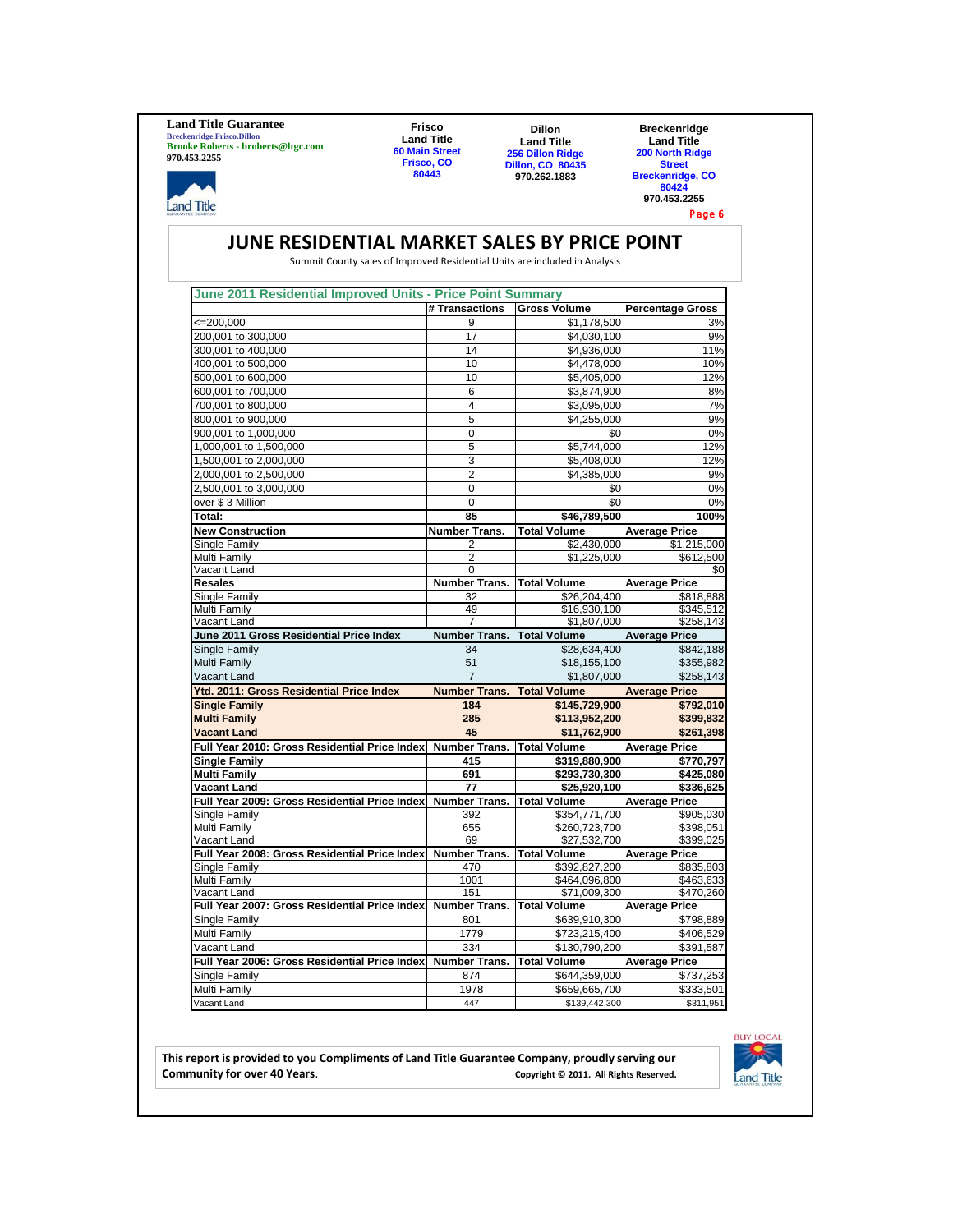**Land Title Guarantee Breckenridge.Frisco.Dillon Brooke Roberts - broberts@ltgc.com 970.453.2255**

**Land Title** 

**Frisco Land Title 60 Main Street Frisco, CO 80443**

**Dillon Land Title 256 Dillon Ridge Dillon, CO 80435 970.262.1883**

**Breckenridge Land Title 200 North Ridge Street Breckenridge, CO 80424 970.453.2255**

Page 6

## **JUNE RESIDENTIAL MARKET SALES BY PRICE POINT**

Summit County sales of Improved Residential Units are included in Analysis

| June 2011 Residential Improved Units - Price Point Summary   |                                        |                                     |                             |
|--------------------------------------------------------------|----------------------------------------|-------------------------------------|-----------------------------|
|                                                              | # Transactions                         | <b>Gross Volume</b>                 | <b>Percentage Gross</b>     |
| $\leq$ 200,000                                               | 9                                      | \$1,178,500                         | 3%                          |
| 200,001 to 300,000                                           | 17                                     | \$4,030,100                         | 9%                          |
| 300,001 to 400,000                                           | 14                                     | \$4,936,000                         | 11%                         |
| 400,001 to 500,000                                           | 10                                     | \$4,478,000                         | 10%                         |
| 500,001 to 600,000                                           | 10                                     | \$5,405,000                         | 12%                         |
| 600,001 to 700,000                                           | 6                                      | \$3,874,900                         | 8%                          |
| 700.001 to 800.000                                           | 4                                      | \$3.095.000                         | 7%                          |
| 800,001 to 900,000                                           | $\overline{5}$                         | \$4,255,000                         | 9%                          |
| 900,001 to 1,000,000                                         | $\Omega$                               | \$0                                 | 0%                          |
| 1,000,001 to 1,500,000                                       | 5                                      | \$5,744,000                         | 12%                         |
| 1,500,001 to 2,000,000                                       | 3                                      | \$5,408,000                         | 12%                         |
| 2,000,001 to 2,500,000                                       | $\overline{2}$                         | \$4,385,000                         | 9%                          |
| 2,500,001 to 3,000,000                                       | $\Omega$                               | \$0                                 | 0%                          |
| over \$3 Million                                             | $\mathbf 0$                            | \$0                                 | 0%                          |
| Total:                                                       | 85                                     |                                     | 100%                        |
|                                                              |                                        | \$46,789,500                        |                             |
| <b>New Construction</b>                                      | Number Trans.                          | <b>Total Volume</b>                 | <b>Average Price</b>        |
| Single Family                                                | 2                                      | \$2,430,000                         | \$1,215,000                 |
| Multi Family                                                 | 2                                      | \$1,225,000                         | \$612,500                   |
| Vacant Land<br><b>Resales</b>                                | 0<br><b>Number Trans. Total Volume</b> |                                     | \$0<br><b>Average Price</b> |
|                                                              | 32                                     | \$26,204,400                        | \$818,888                   |
| Single Family<br>Multi Family                                | 49                                     | \$16,930,100                        | \$345,512                   |
| Vacant Land                                                  | $\overline{7}$                         | \$1,807,000                         | \$258,143                   |
| June 2011 Gross Residential Price Index                      | Number Trans. Total Volume             |                                     | <b>Average Price</b>        |
| Single Family                                                | 34                                     | \$28,634,400                        | \$842,188                   |
| Multi Family                                                 | 51                                     | \$18,155,100                        | \$355,982                   |
| <b>Vacant Land</b>                                           | $\overline{7}$                         | \$1,807,000                         | \$258,143                   |
|                                                              |                                        |                                     |                             |
| Ytd. 2011: Gross Residential Price Index                     | <b>Number Trans. Total Volume</b>      |                                     | <b>Average Price</b>        |
| <b>Single Family</b>                                         | 184                                    | \$145,729,900                       | \$792,010                   |
| <b>Multi Family</b>                                          | 285                                    | \$113,952,200                       | \$399,832                   |
| <b>Vacant Land</b>                                           | 45                                     | \$11,762,900                        | \$261,398                   |
| Full Year 2010: Gross Residential Price Index                | Number Trans. Total Volume             |                                     | <b>Average Price</b>        |
| <b>Single Family</b>                                         | 415                                    | \$319,880,900                       | \$770,797                   |
| <b>Multi Family</b>                                          | 691                                    | \$293,730,300                       | \$425,080                   |
| Vacant Land                                                  | 77                                     | \$25,920,100                        | \$336,625                   |
| Full Year 2009: Gross Residential Price Index                | Number Trans.                          | <b>Total Volume</b>                 | <b>Average Price</b>        |
| Single Family                                                | 392                                    | \$354,771,700                       | \$905,030                   |
| Multi Family                                                 | 655                                    | \$260,723,700                       | \$398,051                   |
| Vacant Land                                                  | 69                                     | \$27,532,700                        | \$399,025                   |
| Full Year 2008: Gross Residential Price Index                | Number Trans. Total Volume             |                                     | <b>Average Price</b>        |
| Single Family                                                | 470                                    | \$392,827,200                       | \$835,803                   |
| Multi Family                                                 | 1001                                   | \$464,096,800                       | \$463,633                   |
| Vacant Land<br>Full Year 2007: Gross Residential Price Index | 151<br><b>Number Trans.</b>            | \$71,009,300<br><b>Total Volume</b> | \$470,260                   |
|                                                              |                                        |                                     | <b>Average Price</b>        |
| Single Family                                                | 801                                    | \$639,910,300                       | \$798,889                   |
| Multi Family                                                 | 1779                                   | \$723,215,400                       | \$406,529                   |
| Vacant Land                                                  | 334                                    | \$130,790,200                       | \$391,587                   |
| Full Year 2006: Gross Residential Price Index                | Number Trans. Total Volume             |                                     | <b>Average Price</b>        |
| Single Family                                                | 874                                    | \$644,359,000                       | \$737,253                   |
| Multi Family                                                 | 1978                                   | \$659,665,700                       | \$333,501                   |
| Vacant Land                                                  | 447                                    | \$139,442,300                       | \$311,951                   |



**This report is provided to you Compliments of Land Title Guarantee Company, proudly serving our**  Copyright © 2011. All Rights Reserved.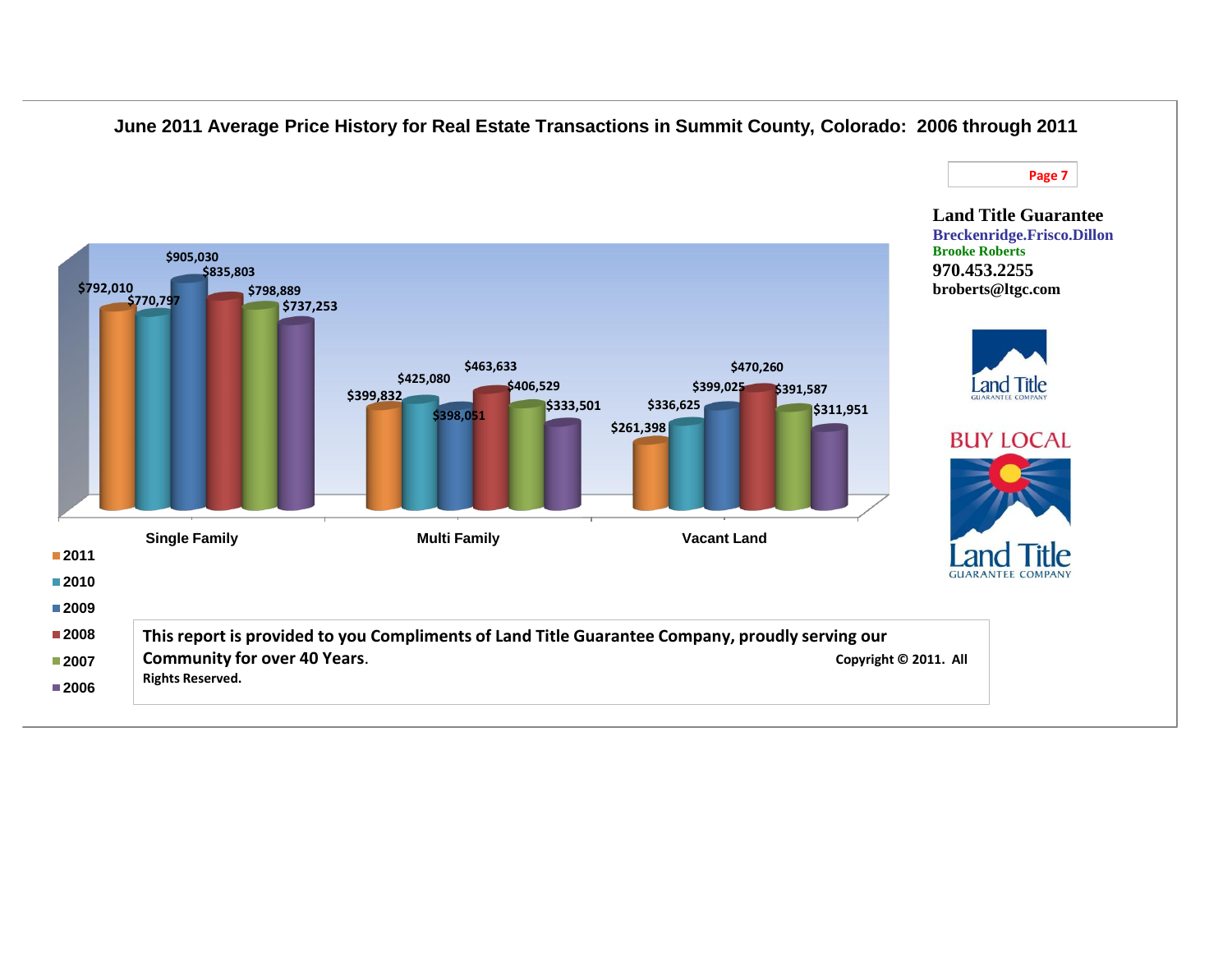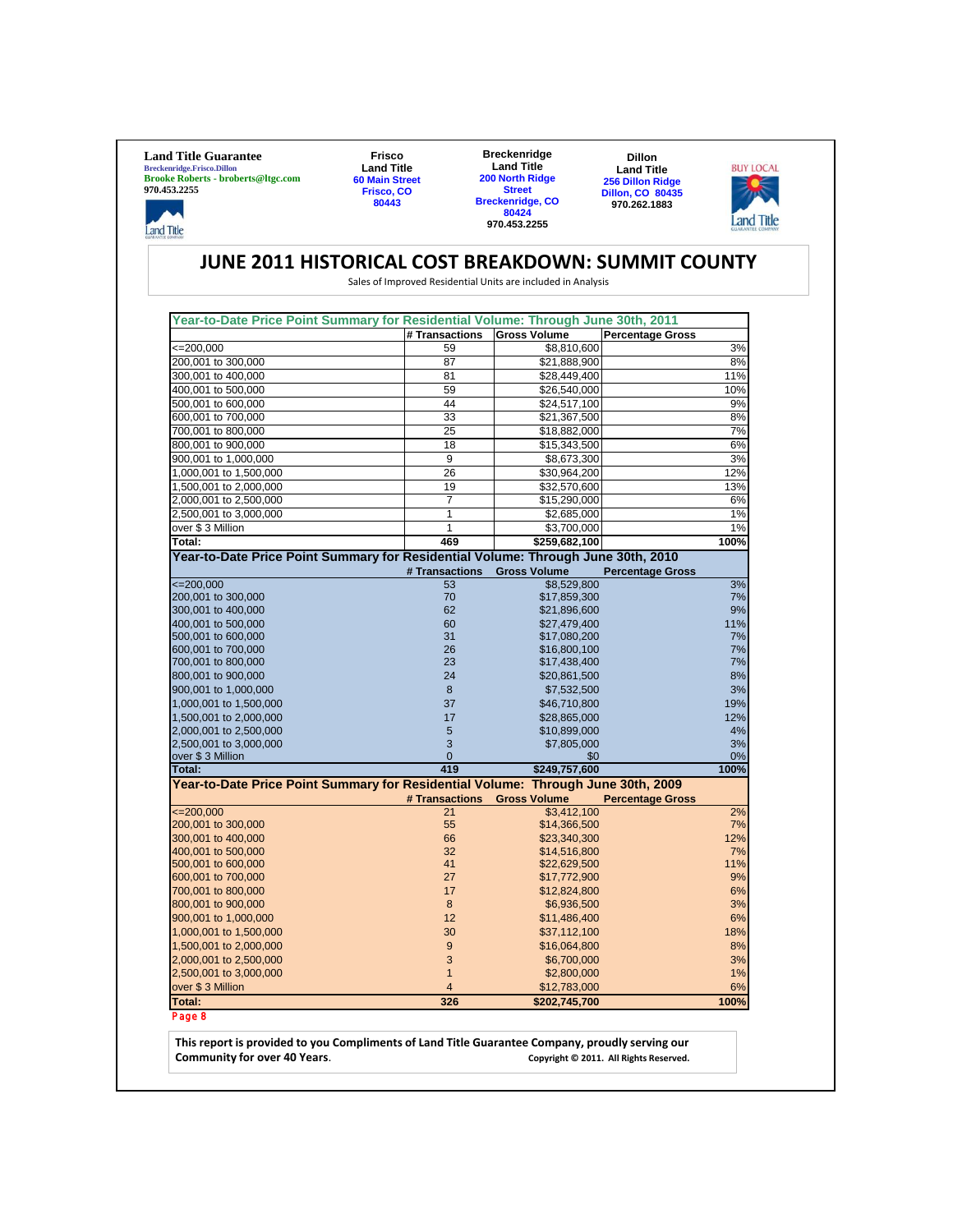**Land Title Guarantee Breckenridge.Frisco.Dillon Brooke Roberts - broberts@ltgc.com 970.453.2255**

محا

**Land Title** 

**Frisco Land Title 60 Main Street Frisco, CO 80443**

**Breckenridge Land Title 200 North Ridge Street Breckenridge, CO 80424 970.453.2255**

**Dillon Land Title 256 Dillon Ridge Dillon, CO 80435 970.262.1883**



## **JUNE 2011 HISTORICAL COST BREAKDOWN: SUMMIT COUNTY**

Sales of Improved Residential Units are included in Analysis

| Year-to-Date Price Point Summary for Residential Volume: Through June 30th, 2011 |                |                     |                         |
|----------------------------------------------------------------------------------|----------------|---------------------|-------------------------|
|                                                                                  | # Transactions | <b>Gross Volume</b> | <b>Percentage Gross</b> |
| $\leq 200,000$                                                                   | 59             | \$8,810,600         | 3%                      |
| 200,001 to 300,000                                                               | 87             | \$21,888,900        | 8%                      |
| 300,001 to 400,000                                                               | 81             | \$28,449,400        | 11%                     |
| 400,001 to 500,000                                                               | 59             | \$26,540,000        | 10%                     |
| 500,001 to 600,000                                                               | 44             | \$24,517,100        | 9%                      |
| 600,001 to 700,000                                                               | 33             | \$21,367,500        | 8%                      |
| 700,001 to 800,000                                                               | 25             | \$18,882,000        | 7%                      |
| 800,001 to 900,000                                                               | 18             | \$15,343,500        | 6%                      |
| 900,001 to 1,000,000                                                             | 9              | \$8,673,300         | 3%                      |
| 1,000,001 to 1,500,000                                                           | 26             | \$30,964,200        | 12%                     |
| 1,500,001 to 2,000,000                                                           | 19             | \$32,570,600        | 13%                     |
| 2,000,001 to 2,500,000                                                           | 7              | \$15,290,000        | 6%                      |
| 2,500,001 to 3,000,000                                                           | 1              | \$2,685,000         | 1%                      |
| over \$3 Million                                                                 | 1              | \$3,700,000         | 1%                      |
| Total:                                                                           | 469            | \$259,682,100       | 100%                    |
| Year-to-Date Price Point Summary for Residential Volume: Through June 30th, 2010 |                |                     |                         |
|                                                                                  | # Transactions | <b>Gross Volume</b> | <b>Percentage Gross</b> |
| $\leq 200,000$                                                                   | 53             | \$8,529,800         | 3%                      |
| 200,001 to 300,000                                                               | 70             | \$17,859,300        | 7%                      |
| 300,001 to 400,000                                                               | 62             | \$21,896,600        | 9%                      |
| 400,001 to 500,000                                                               | 60             | \$27,479,400        | 11%                     |
| 500,001 to 600,000                                                               | 31             | \$17,080,200        | 7%                      |
| 600,001 to 700,000                                                               | 26             | \$16,800,100        | 7%                      |
| 700,001 to 800,000                                                               | 23             | \$17,438,400        | 7%                      |
| 800,001 to 900,000                                                               | 24             | \$20,861,500        | 8%                      |
| 900,001 to 1,000,000                                                             | 8              | \$7,532,500         | 3%                      |
| 1,000,001 to 1,500,000                                                           | 37             | \$46,710,800        | 19%                     |
| 1,500,001 to 2,000,000                                                           | 17             | \$28,865,000        | 12%                     |
| 2,000,001 to 2,500,000                                                           | 5              | \$10,899,000        | 4%                      |
| 2,500,001 to 3,000,000                                                           | 3              | \$7,805,000         | 3%                      |
| over \$3 Million                                                                 | $\overline{0}$ | \$0                 | 0%                      |
| Total:                                                                           | 419            | \$249,757,600       | 100%                    |
| Year-to-Date Price Point Summary for Residential Volume: Through June 30th, 2009 |                |                     |                         |
|                                                                                  | # Transactions | <b>Gross Volume</b> | <b>Percentage Gross</b> |
| $\leq$ 200,000                                                                   | 21             |                     |                         |
|                                                                                  |                | \$3,412,100         | 2%                      |
| 200,001 to 300,000                                                               | 55             | \$14,366,500        | 7%                      |
| 300,001 to 400,000                                                               | 66             | \$23,340,300        | 12%                     |
| 400,001 to 500,000                                                               | 32             | \$14,516,800        | 7%                      |
| 500,001 to 600,000                                                               | 41             | \$22,629,500        | 11%                     |
| 600,001 to 700,000                                                               | 27             | \$17,772,900        | 9%                      |
| 700,001 to 800,000                                                               | 17             | \$12,824,800        | 6%                      |
| 800,001 to 900,000                                                               | 8              | \$6,936,500         | 3%                      |
| 900,001 to 1,000,000                                                             | 12             | \$11,486,400        | 6%                      |
| 1,000,001 to 1,500,000                                                           | 30             | \$37,112,100        | 18%                     |
| 1,500,001 to 2,000,000                                                           | 9              | \$16,064,800        | 8%                      |
| 2,000,001 to 2,500,000                                                           | 3              | \$6,700,000         | 3%                      |
| 2,500,001 to 3,000,000                                                           | $\overline{1}$ | \$2,800,000         | 1%                      |
| over \$3 Million                                                                 | 4              | \$12,783,000        | 6%                      |
| Total:<br>Page 8                                                                 | 326            | \$202,745,700       | 100%                    |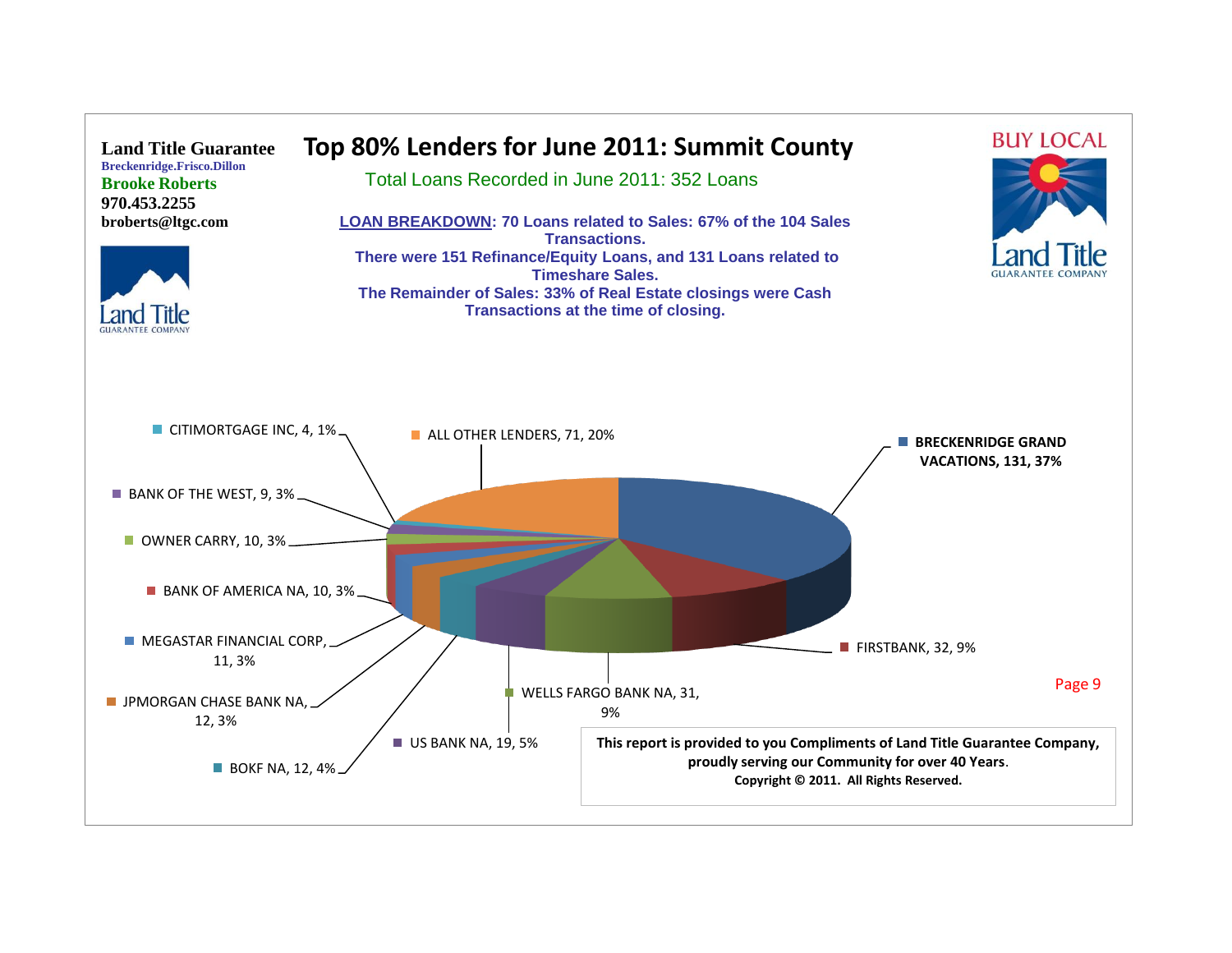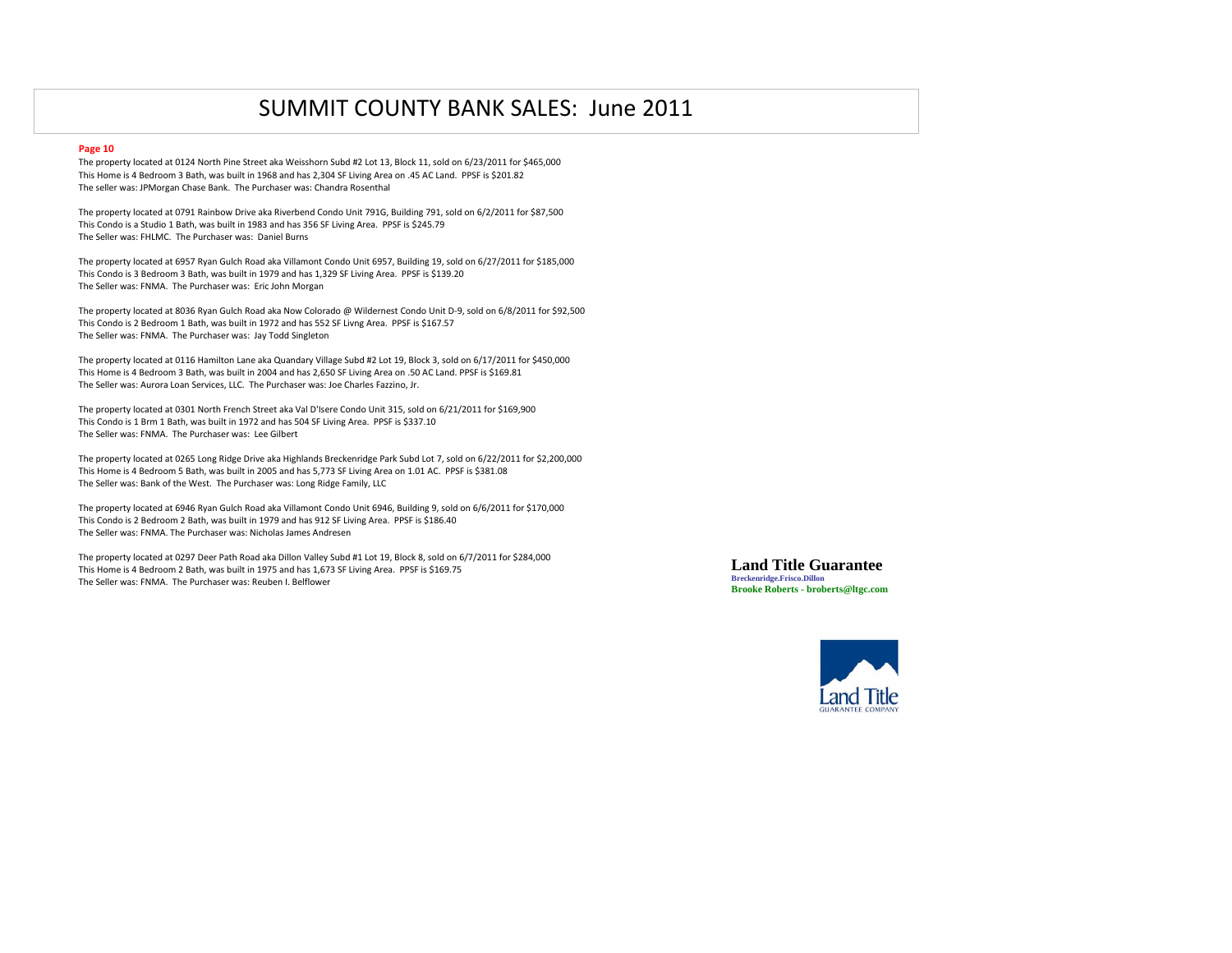#### **Page 10**

The property located at 0124 North Pine Street aka Weisshorn Subd #2 Lot 13, Block 11, sold on 6/23/2011 for \$465,000 This Home is 4 Bedroom 3 Bath, was built in 1968 and has 2,304 SF Living Area on .45 AC Land. PPSF is \$201.82 The seller was: JPMorgan Chase Bank. The Purchaser was: Chandra Rosenthal

The property located at 0791 Rainbow Drive aka Riverbend Condo Unit 791G, Building 791, sold on 6/2/2011 for \$87,500 This Condo is a Studio 1 Bath, was built in 1983 and has 356 SF Living Area. PPSF is \$245.79 The Seller was: FHLMC. The Purchaser was: Daniel Burns

The property located at 6957 Ryan Gulch Road aka Villamont Condo Unit 6957, Building 19, sold on 6/27/2011 for \$185,000 This Condo is 3 Bedroom 3 Bath, was built in 1979 and has 1,329 SF Living Area. PPSF is \$139.20 The Seller was: FNMA. The Purchaser was: Eric John Morgan

The property located at 8036 Ryan Gulch Road aka Now Colorado @ Wildernest Condo Unit D-9, sold on 6/8/2011 for \$92,500 This Condo is 2 Bedroom 1 Bath, was built in 1972 and has 552 SF Livng Area. PPSF is \$167.57 The Seller was: FNMA. The Purchaser was: Jay Todd Singleton

The property located at 0116 Hamilton Lane aka Quandary Village Subd #2 Lot 19, Block 3, sold on 6/17/2011 for \$450,000 This Home is 4 Bedroom 3 Bath, was built in 2004 and has 2,650 SF Living Area on .50 AC Land. PPSF is \$169.81 The Seller was: Aurora Loan Services, LLC. The Purchaser was: Joe Charles Fazzino, Jr.

The property located at 0301 North French Street aka Val D'Isere Condo Unit 315, sold on 6/21/2011 for \$169,900 This Condo is 1 Brm 1 Bath, was built in 1972 and has 504 SF Living Area. PPSF is \$337.10 The Seller was: FNMA. The Purchaser was: Lee Gilbert

The property located at 0265 Long Ridge Drive aka Highlands Breckenridge Park Subd Lot 7, sold on 6/22/2011 for \$2,200,000 This Home is 4 Bedroom 5 Bath, was built in 2005 and has 5,773 SF Living Area on 1.01 AC. PPSF is \$381.08 The Seller was: Bank of the West. The Purchaser was: Long Ridge Family, LLC

The property located at 6946 Ryan Gulch Road aka Villamont Condo Unit 6946, Building 9, sold on 6/6/2011 for \$170,000 This Condo is 2 Bedroom 2 Bath, was built in 1979 and has 912 SF Living Area. PPSF is \$186.40 The Seller was: FNMA. The Purchaser was: Nicholas James Andresen

The property located at 0297 Deer Path Road aka Dillon Valley Subd #1 Lot 19, Block 8, sold on 6/7/2011 for \$284,000 This Home is 4 Bedroom 2 Bath, was built in 1975 and has 1,673 SF Living Area. PPSF is \$169.75 The Seller was: FNMA. The Purchaser was: Reuben I. Belflower

**Land Title Guarantee Breckenridge.Frisco.Dillon Brooke Roberts - broberts@ltgc.com**

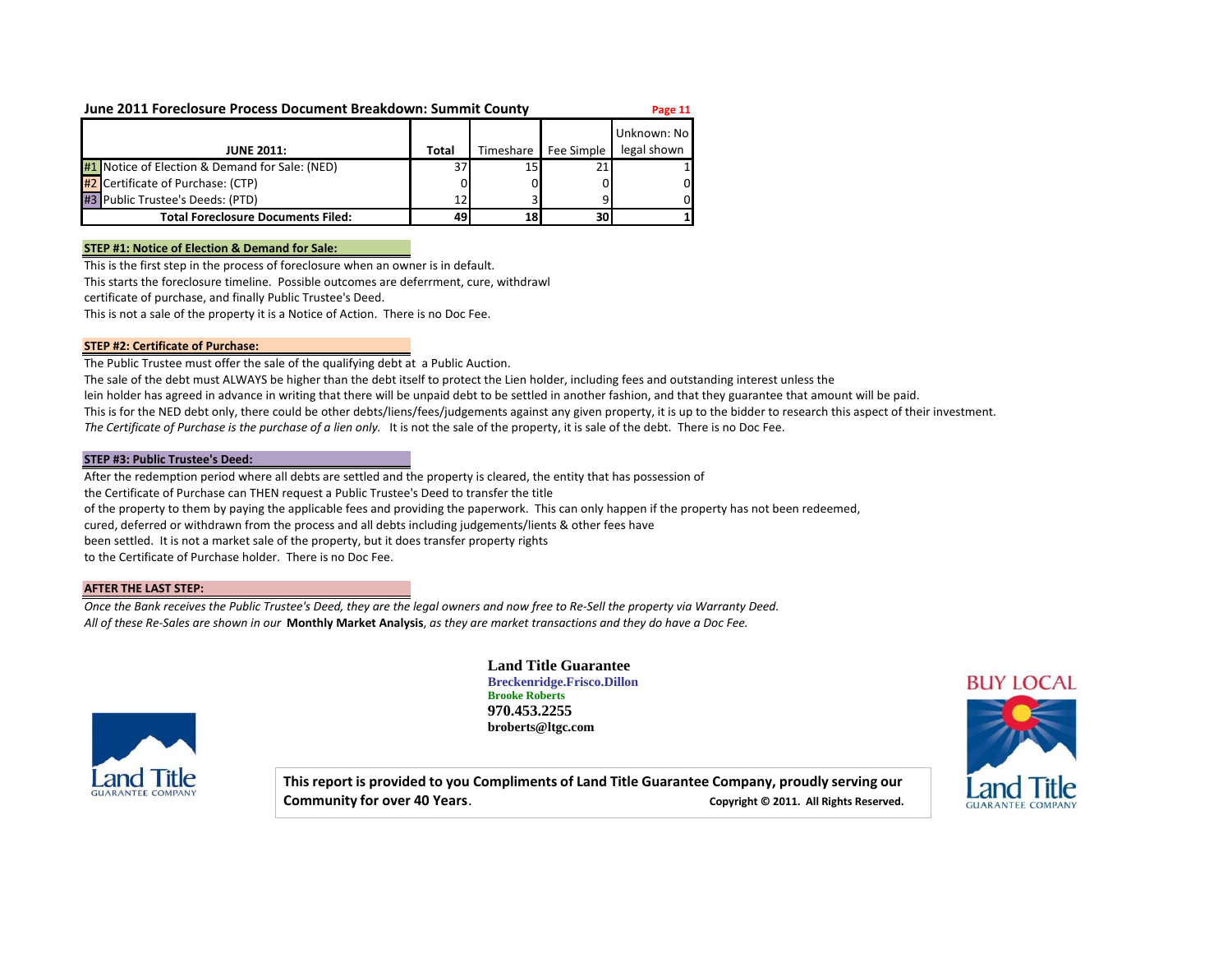#### **June 2011 Foreclosure Process Document Breakdown: Summit County Page 11**

| <b>JUNE 2011:</b>                              | Total | Timeshare I | Fee Simple | Unknown: No<br>legal shown |
|------------------------------------------------|-------|-------------|------------|----------------------------|
| #1 Notice of Election & Demand for Sale: (NED) | 37    | 15          |            |                            |
| #2 Certificate of Purchase: (CTP)              |       |             |            | 01                         |
| #3 Public Trustee's Deeds: (PTD)               | 12    |             |            | 0Ι                         |
| <b>Total Foreclosure Documents Filed:</b>      | 49    | 181         | 30         |                            |

#### **STEP #1: Notice of Election & Demand for Sale:**

This is the first step in the process of foreclosure when an owner is in default. This starts the foreclosure timeline. Possible outcomes are deferrment, cure, withdrawl

certificate of purchase, and finally Public Trustee's Deed.

This is not a sale of the property it is a Notice of Action. There is no Doc Fee.

#### **STEP #2: Certificate of Purchase:**

The Public Trustee must offer the sale of the qualifying debt at a Public Auction.

The sale of the debt must ALWAYS be higher than the debt itself to protect the Lien holder, including fees and outstanding interest unless the

lein holder has agreed in advance in writing that there will be unpaid debt to be settled in another fashion, and that they guarantee that amount will be paid.

This is for the NED debt only, there could be other debts/liens/fees/judgements against any given property, it is up to the bidder to research this aspect of their investment.

The Certificate of Purchase is the purchase of a lien only. It is not the sale of the property, it is sale of the debt. There is no Doc Fee.

#### **STEP #3: Public Trustee's Deed:**

After the redemption period where all debts are settled and the property is cleared, the entity that has possession of the Certificate of Purchase can THEN request a Public Trustee's Deed to transfer the title of the property to them by paying the applicable fees and providing the paperwork. This can only happen if the property has not been redeemed, cured, deferred or withdrawn from the process and all debts including judgements/lients & other fees have been settled. It is not a market sale of the property, but it does transfer property rights to the Certificate of Purchase holder. There is no Doc Fee.

#### **AFTER THE LAST STEP:**

*Once the Bank receives the Public Trustee's Deed, they are the legal owners and now free to Re-Sell the property via Warranty Deed. All of these Re-Sales are shown in our* **Monthly Market Analysis**, *as they are market transactions and they do have a Doc Fee.*



**Land Title Guarantee Breckenridge.Frisco.Dillon Brooke Roberts 970.453.2255 broberts@ltgc.com**

**This report is provided to you Compliments of Land Title Guarantee Company, proudly serving our Community for over 40 Years. Community for over 40 Years. Copyright © 2011.** All Rights Reserved.

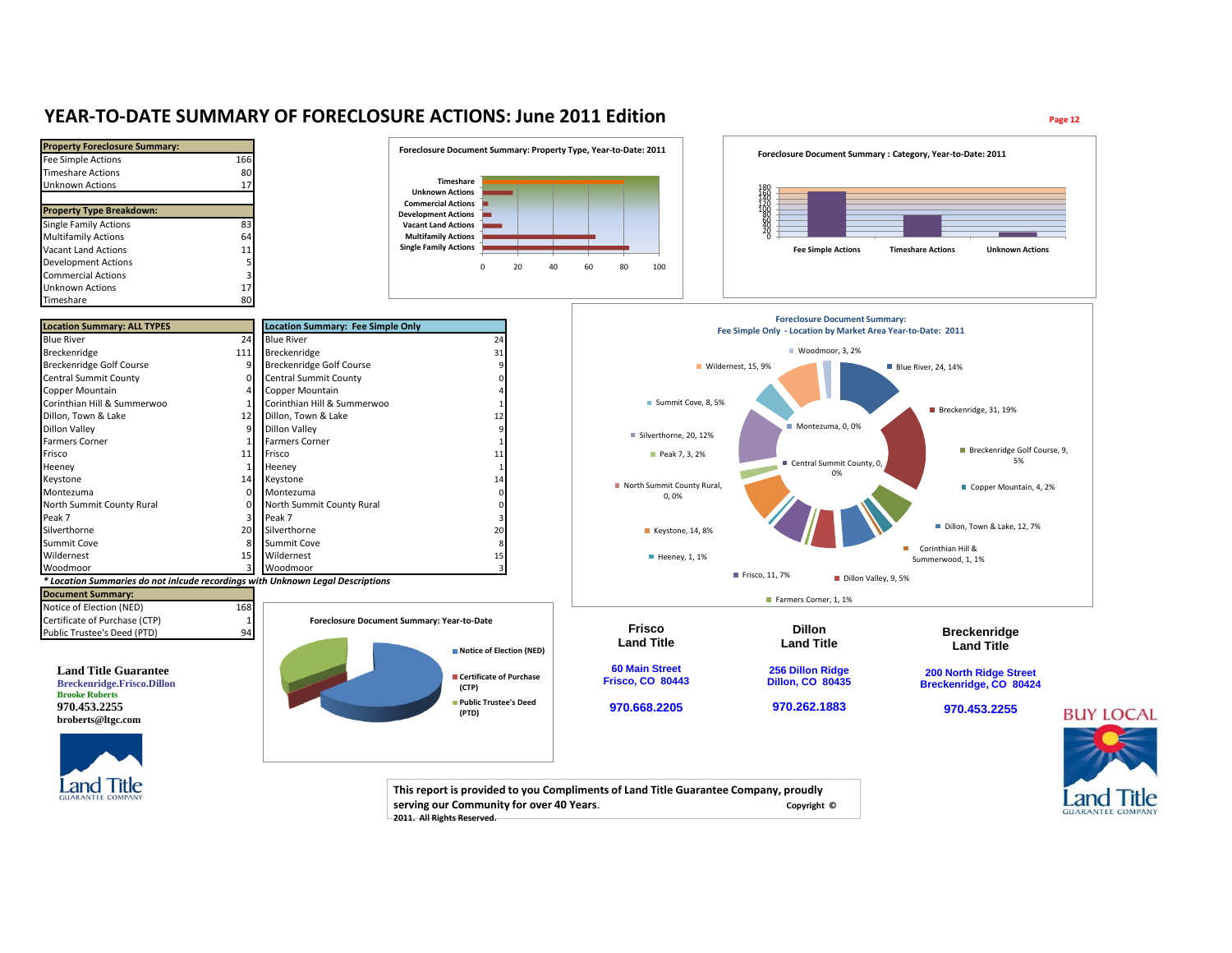### **YEAR-TO-DATE SUMMARY OF FORECLOSURE ACTIONS: June 2011 Edition Page 12**